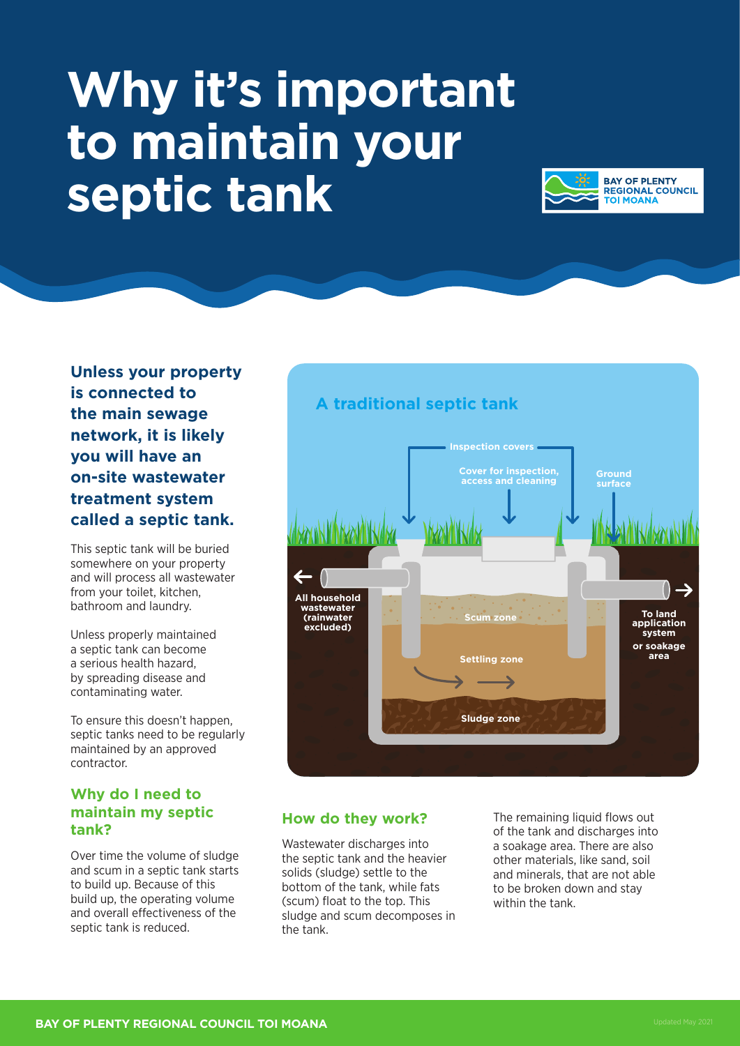# **Why it's important to maintain your septic tank**



**Unless your property is connected to the main sewage network, it is likely you will have an on-site wastewater treatment system called a septic tank.** 

This septic tank will be buried somewhere on your property and will process all wastewater from your toilet, kitchen, bathroom and laundry.

Unless properly maintained a septic tank can become a serious health hazard, by spreading disease and contaminating water.

To ensure this doesn't happen, septic tanks need to be regularly maintained by an approved contractor.

## **Why do I need to maintain my septic tank?**

Over time the volume of sludge and scum in a septic tank starts to build up. Because of this build up, the operating volume and overall effectiveness of the septic tank is reduced.



# **How do they work?**

Wastewater discharges into the septic tank and the heavier solids (sludge) settle to the bottom of the tank, while fats (scum) float to the top. This sludge and scum decomposes in the tank.

The remaining liquid flows out of the tank and discharges into a soakage area. There are also other materials, like sand, soil and minerals, that are not able to be broken down and stay within the tank.